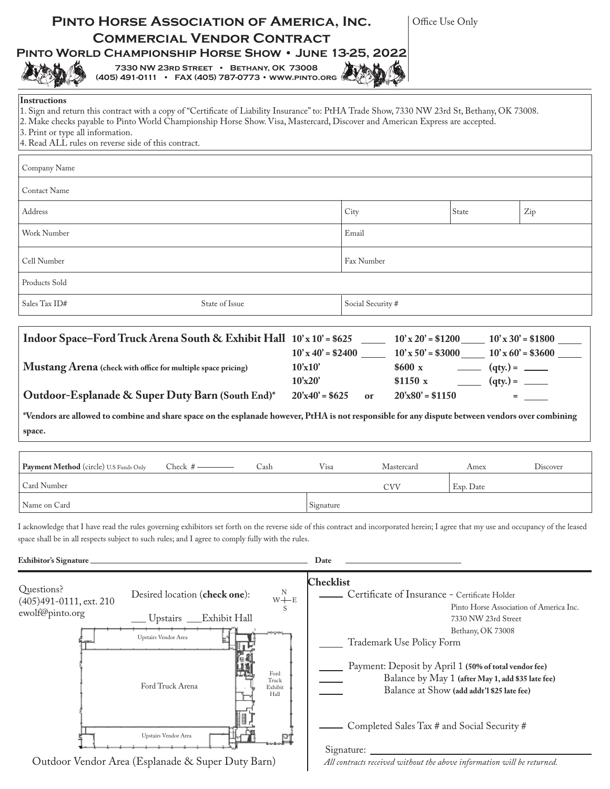| <b>COMMERCIAL VENDOR CONTRACT</b><br>PINTO WORLD CHAMPIONSHIP HORSE SHOW . JUNE 13-25, 2022<br>7330 NW 23RD STREET • BETHANY, OK 73008<br>(405) 491-0111 • FAX (405) 787-0773 • WWW.PINTO.ORG                                                                                                                                                                                                    | PINTO HORSE ASSOCIATION OF AMERICA, INC. | Office Use Only         |                                                                     |                   |  |
|--------------------------------------------------------------------------------------------------------------------------------------------------------------------------------------------------------------------------------------------------------------------------------------------------------------------------------------------------------------------------------------------------|------------------------------------------|-------------------------|---------------------------------------------------------------------|-------------------|--|
| <b>Instructions</b><br>1. Sign and return this contract with a copy of "Certificate of Liability Insurance" to: PtHA Trade Show, 7330 NW 23rd St, Bethany, OK 73008.<br>2. Make checks payable to Pinto World Championship Horse Show. Visa, Mastercard, Discover and American Express are accepted.<br>3. Print or type all information.<br>4. Read ALL rules on reverse side of this contract. |                                          |                         |                                                                     |                   |  |
| Company Name                                                                                                                                                                                                                                                                                                                                                                                     |                                          |                         |                                                                     |                   |  |
| Contact Name                                                                                                                                                                                                                                                                                                                                                                                     |                                          |                         |                                                                     |                   |  |
| Address                                                                                                                                                                                                                                                                                                                                                                                          |                                          | State<br>City<br>Zip    |                                                                     |                   |  |
| Work Number                                                                                                                                                                                                                                                                                                                                                                                      |                                          | Email                   |                                                                     |                   |  |
| Cell Number                                                                                                                                                                                                                                                                                                                                                                                      |                                          | Fax Number              |                                                                     |                   |  |
| Products Sold                                                                                                                                                                                                                                                                                                                                                                                    |                                          |                         |                                                                     |                   |  |
| State of Issue<br>Sales Tax ID#                                                                                                                                                                                                                                                                                                                                                                  |                                          | Social Security #       |                                                                     |                   |  |
|                                                                                                                                                                                                                                                                                                                                                                                                  | 10'x20'                                  | \$1150x                 |                                                                     |                   |  |
| Outdoor-Esplanade & Super Duty Barn (South End)*<br>*Vendors are allowed to combine and share space on the esplanade however, PtHA is not responsible for any dispute between vendors over combining<br>space.                                                                                                                                                                                   | $20'x40' = $625$                         | $20'x80' = $1150$<br>or | $\frac{1}{\sqrt{1-\frac{1}{2}}\cdot\frac{1}{\sqrt{1-\frac{1}{2}}}}$ | <b>Experience</b> |  |
| Payment Method (circle) U.S Funds Only<br>Check $#$ -<br>Cash                                                                                                                                                                                                                                                                                                                                    | Visa                                     | Mastercard              | Amex                                                                | Discover          |  |
| Card Number                                                                                                                                                                                                                                                                                                                                                                                      |                                          | <b>CVV</b>              | Exp. Date                                                           |                   |  |
| Name on Card                                                                                                                                                                                                                                                                                                                                                                                     | Signature                                |                         |                                                                     |                   |  |
|                                                                                                                                                                                                                                                                                                                                                                                                  |                                          |                         |                                                                     |                   |  |
| I acknowledge that I have read the rules governing exhibitors set forth on the reverse side of this contract and incorporated herein; I agree that my use and occupancy of the leased<br>space shall be in all respects subject to such rules; and I agree to comply fully with the rules.<br>Exhibitor's Signature                                                                              | Date                                     |                         |                                                                     |                   |  |

Outdoor Vendor Area (Esplanade & Super Duty Barn)

Upstairs Vendor Area

ţË

РÍ

цł.

Signature:

Completed Sales Tax # and Social Security #

*All contracts received without the above information will be returned.*